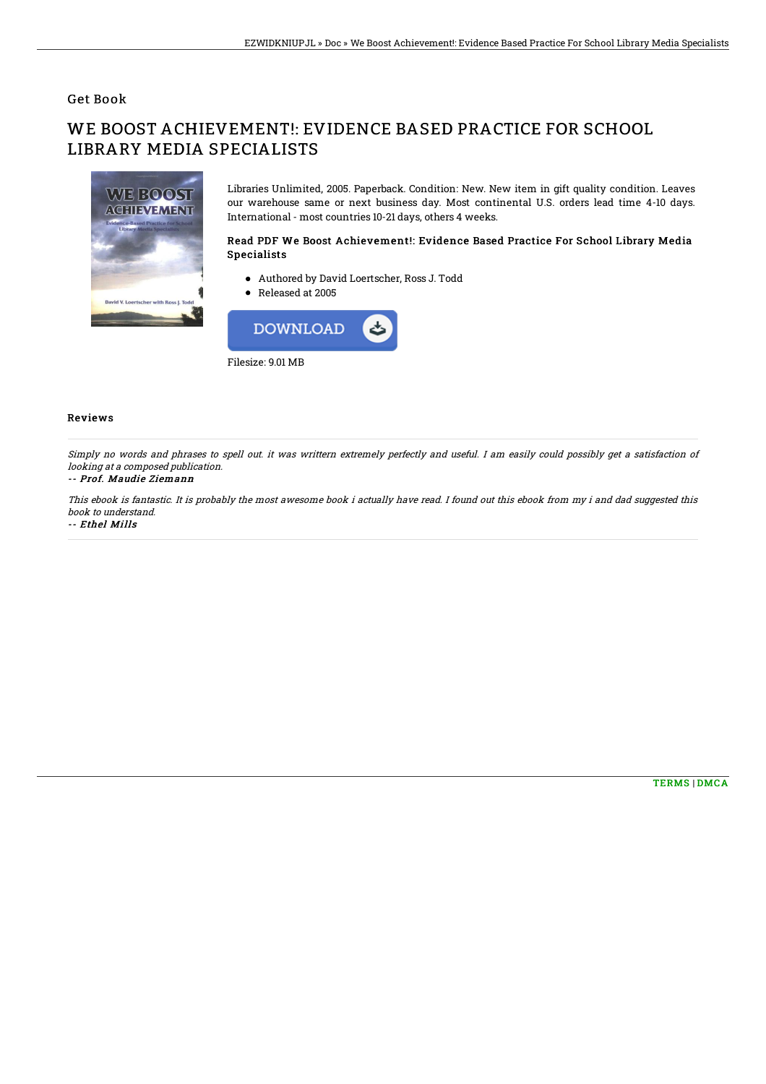## Get Book

# WE BOOST ACHIEVEMENT!: EVIDENCE BASED PRACTICE FOR SCHOOL LIBRARY MEDIA SPECIALISTS



Libraries Unlimited, 2005. Paperback. Condition: New. New item in gift quality condition. Leaves our warehouse same or next business day. Most continental U.S. orders lead time 4-10 days. International - most countries 10-21 days, others 4 weeks.

### Read PDF We Boost Achievement!: Evidence Based Practice For School Library Media Specialists

- Authored by David Loertscher, Ross J. Todd
- Released at 2005



#### Reviews

Simply no words and phrases to spell out. it was writtern extremely perfectly and useful. I am easily could possibly get <sup>a</sup> satisfaction of looking at <sup>a</sup> composed publication.

#### -- Prof. Maudie Ziemann

This ebook is fantastic. It is probably the most awesome book i actually have read. I found out this ebook from my i and dad suggested this book to understand.

-- Ethel Mills